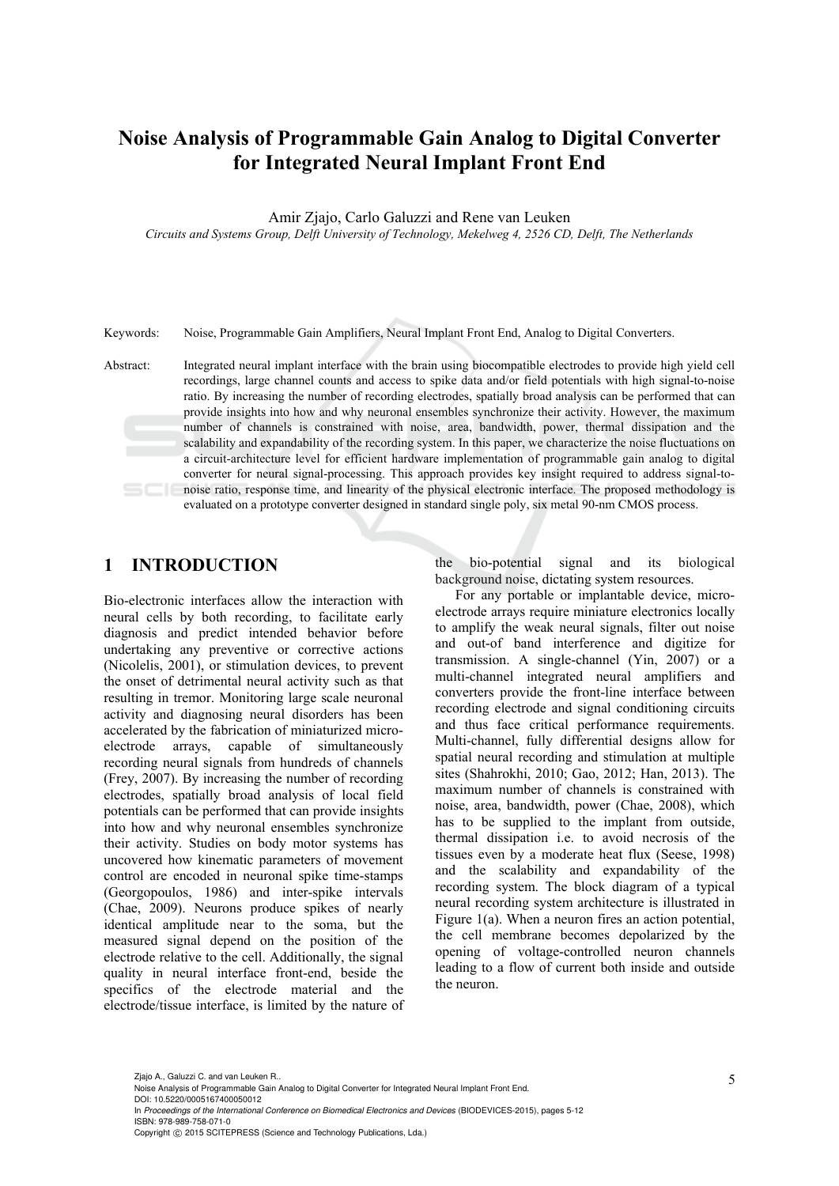# **Noise Analysis of Programmable Gain Analog to Digital Converter for Integrated Neural Implant Front End**

Amir Zjajo, Carlo Galuzzi and Rene van Leuken

*Circuits and Systems Group, Delft University of Technology, Mekelweg 4, 2526 CD, Delft, The Netherlands* 

Keywords: Noise, Programmable Gain Amplifiers, Neural Implant Front End, Analog to Digital Converters.

Abstract: Integrated neural implant interface with the brain using biocompatible electrodes to provide high yield cell recordings, large channel counts and access to spike data and/or field potentials with high signal-to-noise ratio. By increasing the number of recording electrodes, spatially broad analysis can be performed that can provide insights into how and why neuronal ensembles synchronize their activity. However, the maximum number of channels is constrained with noise, area, bandwidth, power, thermal dissipation and the scalability and expandability of the recording system. In this paper, we characterize the noise fluctuations on a circuit-architecture level for efficient hardware implementation of programmable gain analog to digital converter for neural signal-processing. This approach provides key insight required to address signal-tonoise ratio, response time, and linearity of the physical electronic interface. The proposed methodology is evaluated on a prototype converter designed in standard single poly, six metal 90-nm CMOS process.

# **1 INTRODUCTION**

Bio-electronic interfaces allow the interaction with neural cells by both recording, to facilitate early diagnosis and predict intended behavior before undertaking any preventive or corrective actions (Nicolelis, 2001), or stimulation devices, to prevent the onset of detrimental neural activity such as that resulting in tremor. Monitoring large scale neuronal activity and diagnosing neural disorders has been accelerated by the fabrication of miniaturized microelectrode arrays, capable of simultaneously recording neural signals from hundreds of channels (Frey, 2007). By increasing the number of recording electrodes, spatially broad analysis of local field potentials can be performed that can provide insights into how and why neuronal ensembles synchronize their activity. Studies on body motor systems has uncovered how kinematic parameters of movement control are encoded in neuronal spike time-stamps (Georgopoulos, 1986) and inter-spike intervals (Chae, 2009). Neurons produce spikes of nearly identical amplitude near to the soma, but the measured signal depend on the position of the electrode relative to the cell. Additionally, the signal quality in neural interface front-end, beside the specifics of the electrode material and the electrode/tissue interface, is limited by the nature of the bio-potential signal and its biological background noise, dictating system resources.

For any portable or implantable device, microelectrode arrays require miniature electronics locally to amplify the weak neural signals, filter out noise and out-of band interference and digitize for transmission. A single-channel (Yin, 2007) or a multi-channel integrated neural amplifiers and converters provide the front-line interface between recording electrode and signal conditioning circuits and thus face critical performance requirements. Multi-channel, fully differential designs allow for spatial neural recording and stimulation at multiple sites (Shahrokhi, 2010; Gao, 2012; Han, 2013). The maximum number of channels is constrained with noise, area, bandwidth, power (Chae, 2008), which has to be supplied to the implant from outside, thermal dissipation i.e. to avoid necrosis of the tissues even by a moderate heat flux (Seese, 1998) and the scalability and expandability of the recording system. The block diagram of a typical neural recording system architecture is illustrated in Figure 1(a). When a neuron fires an action potential, the cell membrane becomes depolarized by the opening of voltage-controlled neuron channels leading to a flow of current both inside and outside the neuron.

Zjajo A., Galuzzi C. and van Leuken R..

Noise Analysis of Programmable Gain Analog to Digital Converter for Integrated Neural Implant Front End. DOI: 10.5220/0005167400050012

In *Proceedings of the International Conference on Biomedical Electronics and Devices* (BIODEVICES-2015), pages 5-12 ISBN: 978-989-758-071-0

Copyright © 2015 SCITEPRESS (Science and Technology Publications, Lda.)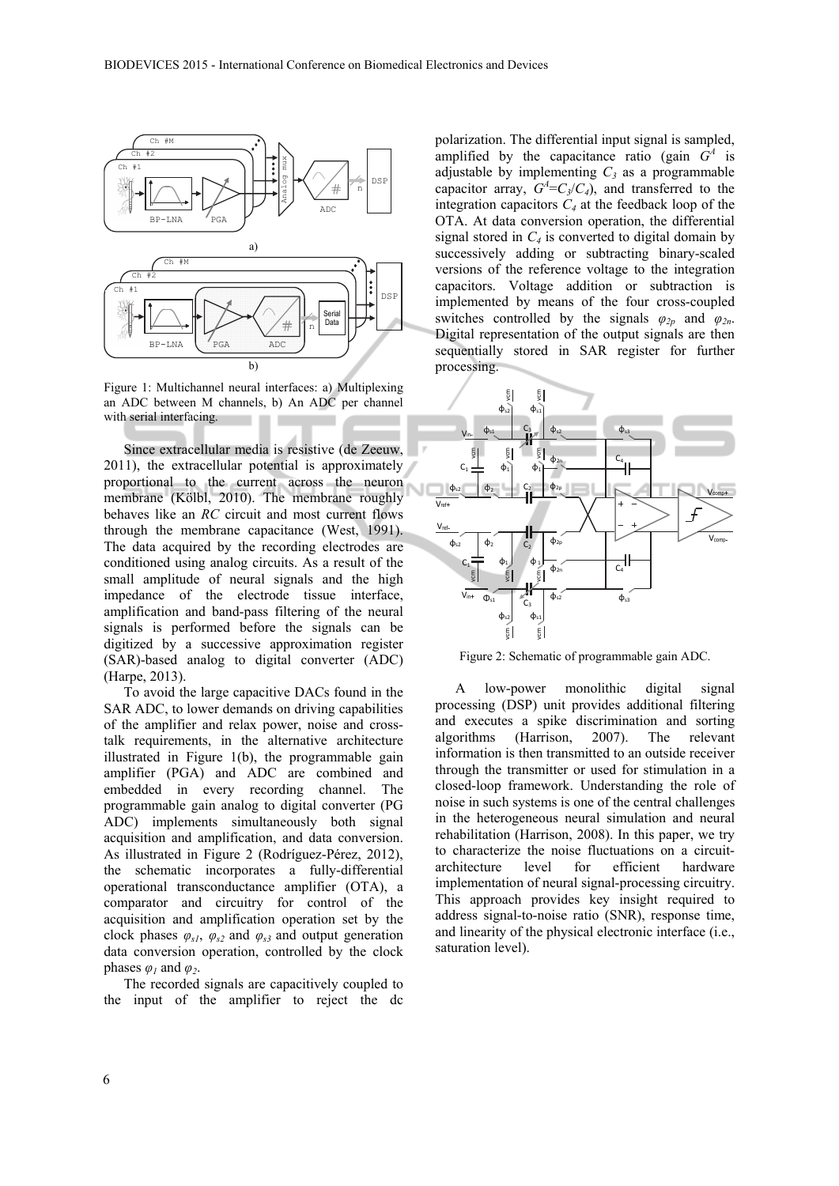

Figure 1: Multichannel neural interfaces: a) Multiplexing an ADC between M channels, b) An ADC per channel with serial interfacing.

Since extracellular media is resistive (de Zeeuw, 2011), the extracellular potential is approximately proportional to the current across the neuron membrane (Kölbl, 2010). The membrane roughly behaves like an *RC* circuit and most current flows through the membrane capacitance (West, 1991). The data acquired by the recording electrodes are conditioned using analog circuits. As a result of the small amplitude of neural signals and the high impedance of the electrode tissue interface, amplification and band-pass filtering of the neural signals is performed before the signals can be digitized by a successive approximation register (SAR)-based analog to digital converter (ADC) (Harpe, 2013).

To avoid the large capacitive DACs found in the SAR ADC, to lower demands on driving capabilities of the amplifier and relax power, noise and crosstalk requirements, in the alternative architecture illustrated in Figure 1(b), the programmable gain amplifier (PGA) and ADC are combined and embedded in every recording channel. The programmable gain analog to digital converter (PG ADC) implements simultaneously both signal acquisition and amplification, and data conversion. As illustrated in Figure 2 (Rodríguez-Pérez, 2012), the schematic incorporates a fully-differential operational transconductance amplifier (OTA), a comparator and circuitry for control of the acquisition and amplification operation set by the clock phases  $\varphi_{s1}$ ,  $\varphi_{s2}$  and  $\varphi_{s3}$  and output generation data conversion operation, controlled by the clock phases  $\varphi_1$  and  $\varphi_2$ .

The recorded signals are capacitively coupled to the input of the amplifier to reject the dc

polarization. The differential input signal is sampled, amplified by the capacitance ratio (gain  $\tilde{G}^A$  is adjustable by implementing  $C_3$  as a programmable capacitor array,  $G^4 = C_3/C_4$ ), and transferred to the integration capacitors  $C_4$  at the feedback loop of the OTA. At data conversion operation, the differential signal stored in  $C_4$  is converted to digital domain by successively adding or subtracting binary-scaled versions of the reference voltage to the integration capacitors. Voltage addition or subtraction is implemented by means of the four cross-coupled switches controlled by the signals  $\varphi_{2p}$  and  $\varphi_{2n}$ . Digital representation of the output signals are then sequentially stored in SAR register for further processing.



Figure 2: Schematic of programmable gain ADC.

A low-power monolithic digital signal processing (DSP) unit provides additional filtering and executes a spike discrimination and sorting algorithms (Harrison, 2007). The relevant information is then transmitted to an outside receiver through the transmitter or used for stimulation in a closed-loop framework. Understanding the role of noise in such systems is one of the central challenges in the heterogeneous neural simulation and neural rehabilitation (Harrison, 2008). In this paper, we try to characterize the noise fluctuations on a circuitarchitecture level for efficient hardware implementation of neural signal-processing circuitry. This approach provides key insight required to address signal-to-noise ratio (SNR), response time, and linearity of the physical electronic interface (i.e., saturation level).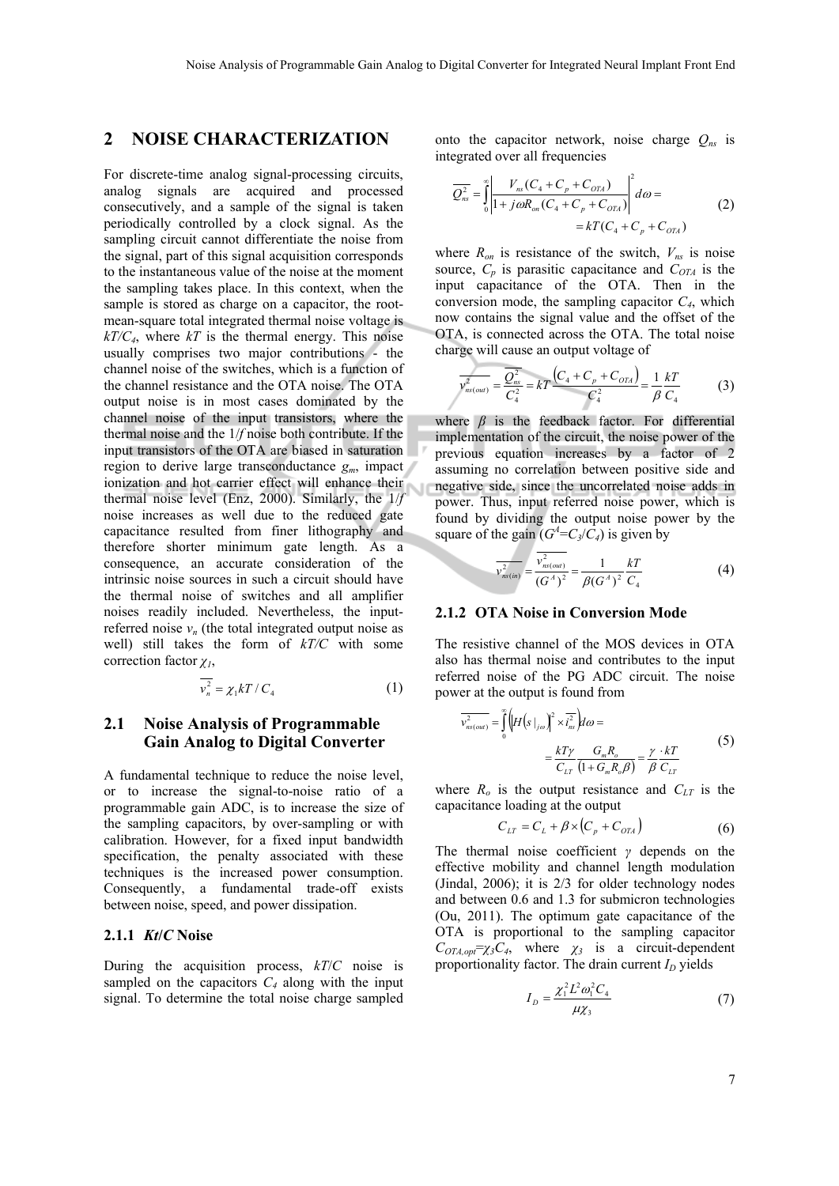### **2 NOISE CHARACTERIZATION**

For discrete-time analog signal-processing circuits, analog signals are acquired and processed consecutively, and a sample of the signal is taken periodically controlled by a clock signal. As the sampling circuit cannot differentiate the noise from the signal, part of this signal acquisition corresponds to the instantaneous value of the noise at the moment the sampling takes place. In this context, when the sample is stored as charge on a capacitor, the rootmean-square total integrated thermal noise voltage is  $kT/C<sub>4</sub>$ , where  $kT$  is the thermal energy. This noise usually comprises two major contributions - the channel noise of the switches, which is a function of the channel resistance and the OTA noise. The OTA output noise is in most cases dominated by the channel noise of the input transistors, where the thermal noise and the 1/*f* noise both contribute. If the input transistors of the OTA are biased in saturation region to derive large transconductance *gm*, impact ionization and hot carrier effect will enhance their thermal noise level (Enz, 2000). Similarly, the 1/*f*  noise increases as well due to the reduced gate capacitance resulted from finer lithography and therefore shorter minimum gate length. As a consequence, an accurate consideration of the intrinsic noise sources in such a circuit should have the thermal noise of switches and all amplifier noises readily included. Nevertheless, the inputreferred noise  $v_n$  (the total integrated output noise as well) still takes the form of *kT/C* with some correction factor *χ1*,

$$
\overline{v_n^2} = \chi_1 kT / C_4 \tag{1}
$$

### **2.1 Noise Analysis of Programmable Gain Analog to Digital Converter**

A fundamental technique to reduce the noise level, or to increase the signal-to-noise ratio of a programmable gain ADC, is to increase the size of the sampling capacitors, by over-sampling or with calibration. However, for a fixed input bandwidth specification, the penalty associated with these techniques is the increased power consumption. Consequently, a fundamental trade-off exists between noise, speed, and power dissipation.

#### **2.1.1** *Kt***/***C* **Noise**

During the acquisition process, *kT*/*C* noise is sampled on the capacitors  $C_4$  along with the input signal. To determine the total noise charge sampled

onto the capacitor network, noise charge *Qns* is integrated over all frequencies

$$
\overline{Q_{ns}^{2}} = \int_{0}^{\infty} \left| \frac{V_{ns}(C_{4} + C_{p} + C_{OTA})}{1 + j\omega R_{on}(C_{4} + C_{p} + C_{OTA})} \right|^{2} d\omega = \n\begin{aligned}\n&= kT(C_{4} + C_{p} + C_{OTA})\n\end{aligned}
$$
\n(2)

where  $R_{on}$  is resistance of the switch,  $V_{ns}$  is noise source,  $C_p$  is parasitic capacitance and  $C_{OTA}$  is the input capacitance of the OTA. Then in the conversion mode, the sampling capacitor  $C_4$ , which now contains the signal value and the offset of the OTA, is connected across the OTA. The total noise charge will cause an output voltage of

$$
\overline{v_{ns(out)}^2} = \frac{\overline{Q_{ns}^2}}{C_4^2} = kT \frac{(C_4 + C_p + C_{OTA})}{C_4^2} = \frac{1}{\beta} \frac{kT}{C_4}
$$
(3)

where  $\beta$  is the feedback factor. For differential implementation of the circuit, the noise power of the previous equation increases by a factor of 2 assuming no correlation between positive side and negative side, since the uncorrelated noise adds in power. Thus, input referred noise power, which is found by dividing the output noise power by the square of the gain  $(G<sup>4</sup>=C<sub>3</sub>/C<sub>4</sub>)$  is given by

$$
\frac{v_{ns(m)}^2}{\sqrt{v_{ns(m)}^2}} = \frac{v_{ns(out)}^2}{(G^A)^2} = \frac{1}{\beta(G^A)^2} \frac{kT}{C_4}
$$
(4)

#### **2.1.2 OTA Noise in Conversion Mode**

The resistive channel of the MOS devices in OTA also has thermal noise and contributes to the input referred noise of the PG ADC circuit. The noise power at the output is found from

$$
\overline{v_{ns(out)}^2} = \int_0^\infty \left( H \left( s \big|_{j\omega} \right)^2 \times \overline{i_n^2} \right) d\omega =
$$
\n
$$
= \frac{kT\gamma}{C_{LT}} \frac{G_m R_o}{\left( 1 + G_m R_o \beta \right)} = \frac{\gamma}{\beta} \frac{kT}{C_{LT}} \tag{5}
$$

where  $R_o$  is the output resistance and  $C_{LT}$  is the capacitance loading at the output

$$
C_{LT} = C_L + \beta \times (C_p + C_{OTA}) \tag{6}
$$

The thermal noise coefficient *γ* depends on the effective mobility and channel length modulation (Jindal, 2006); it is 2/3 for older technology nodes and between 0.6 and 1.3 for submicron technologies (Ou, 2011). The optimum gate capacitance of the OTA is proportional to the sampling capacitor  $C_{OTA,opt} = \chi_3 C_4$ , where  $\chi_3$  is a circuit-dependent proportionality factor. The drain current  $I_D$  yields

$$
I_{D} = \frac{\chi_{1}^{2} L^{2} \omega_{1}^{2} C_{4}}{\mu \chi_{3}}
$$
 (7)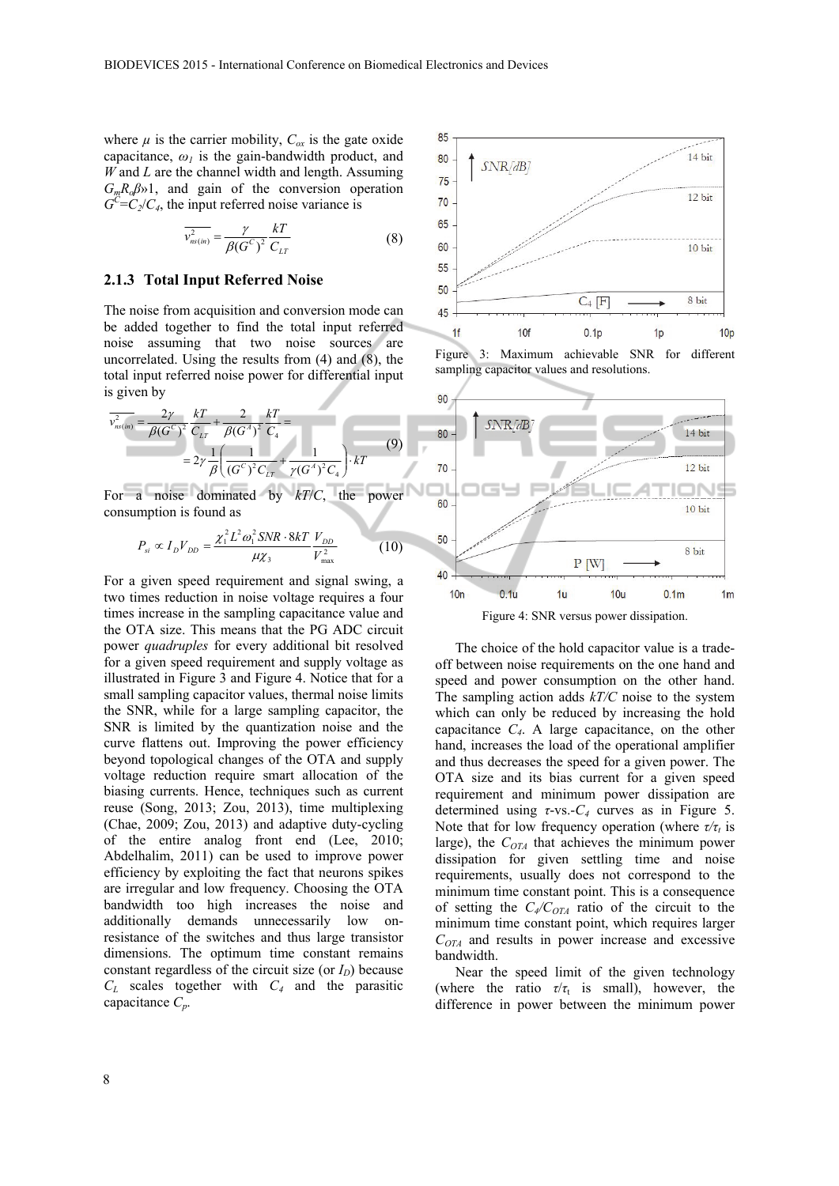where  $\mu$  is the carrier mobility,  $C_{ox}$  is the gate oxide capacitance,  $\omega_I$  is the gain-bandwidth product, and *W* and *L* are the channel width and length. Assuming  $G_mR_o\beta \gg 1$ , and gain of the conversion operation  $G^{C} = C_{2}/C_{4}$ , the input referred noise variance is

$$
\overline{v_{ns(in)}^2} = \frac{\gamma}{\beta(G^C)^2} \frac{kT}{C_{LT}}
$$
 (8)

#### **2.1.3 Total Input Referred Noise**

The noise from acquisition and conversion mode can be added together to find the total input referred noise assuming that two noise sources are uncorrelated. Using the results from (4) and (8), the total input referred noise power for differential input is given by

$$
\overline{v_{ns(m)}^2} = \frac{2\gamma}{\beta(G^C)^2} \frac{kT}{C_{LT}} + \frac{2}{\beta(G^A)^2} \frac{kT}{C_4} =
$$
\n
$$
= 2\gamma \frac{1}{\beta} \left( \frac{1}{(G^C)^2 C_{LT}} + \frac{1}{\gamma(G^A)^2 C_4} \right) \cdot kT
$$
\n(9)

For a noise dominated by *kT*/*C*, the power consumption is found as

$$
P_{si} \propto I_D V_{DD} = \frac{\chi_1^2 L^2 \omega_1^2 S N R \cdot 8 k T}{\mu \chi_3} \frac{V_{DD}}{V_{\text{max}}^2}
$$
(10)

For a given speed requirement and signal swing, a two times reduction in noise voltage requires a four times increase in the sampling capacitance value and the OTA size. This means that the PG ADC circuit power *quadruples* for every additional bit resolved for a given speed requirement and supply voltage as illustrated in Figure 3 and Figure 4. Notice that for a small sampling capacitor values, thermal noise limits the SNR, while for a large sampling capacitor, the SNR is limited by the quantization noise and the curve flattens out. Improving the power efficiency beyond topological changes of the OTA and supply voltage reduction require smart allocation of the biasing currents. Hence, techniques such as current reuse (Song, 2013; Zou, 2013), time multiplexing (Chae, 2009; Zou, 2013) and adaptive duty-cycling of the entire analog front end (Lee, 2010; Abdelhalim, 2011) can be used to improve power efficiency by exploiting the fact that neurons spikes are irregular and low frequency. Choosing the OTA bandwidth too high increases the noise and additionally demands unnecessarily low onresistance of the switches and thus large transistor dimensions. The optimum time constant remains constant regardless of the circuit size (or  $I_D$ ) because *CL* scales together with *C4* and the parasitic capacitance *Cp*.



Figure 3: Maximum achievable SNR for different sampling capacitor values and resolutions.



Figure 4: SNR versus power dissipation.

The choice of the hold capacitor value is a tradeoff between noise requirements on the one hand and speed and power consumption on the other hand. The sampling action adds *kT/C* noise to the system which can only be reduced by increasing the hold capacitance *C4*. A large capacitance, on the other hand, increases the load of the operational amplifier and thus decreases the speed for a given power. The OTA size and its bias current for a given speed requirement and minimum power dissipation are determined using  $\tau$ -vs.- $C_4$  curves as in Figure 5. Note that for low frequency operation (where  $\tau/\tau_t$  is large), the *COTA* that achieves the minimum power dissipation for given settling time and noise requirements, usually does not correspond to the minimum time constant point. This is a consequence of setting the  $C_4/C_{OTA}$  ratio of the circuit to the minimum time constant point, which requires larger *COTA* and results in power increase and excessive bandwidth.

Near the speed limit of the given technology (where the ratio  $\tau/\tau_t$  is small), however, the difference in power between the minimum power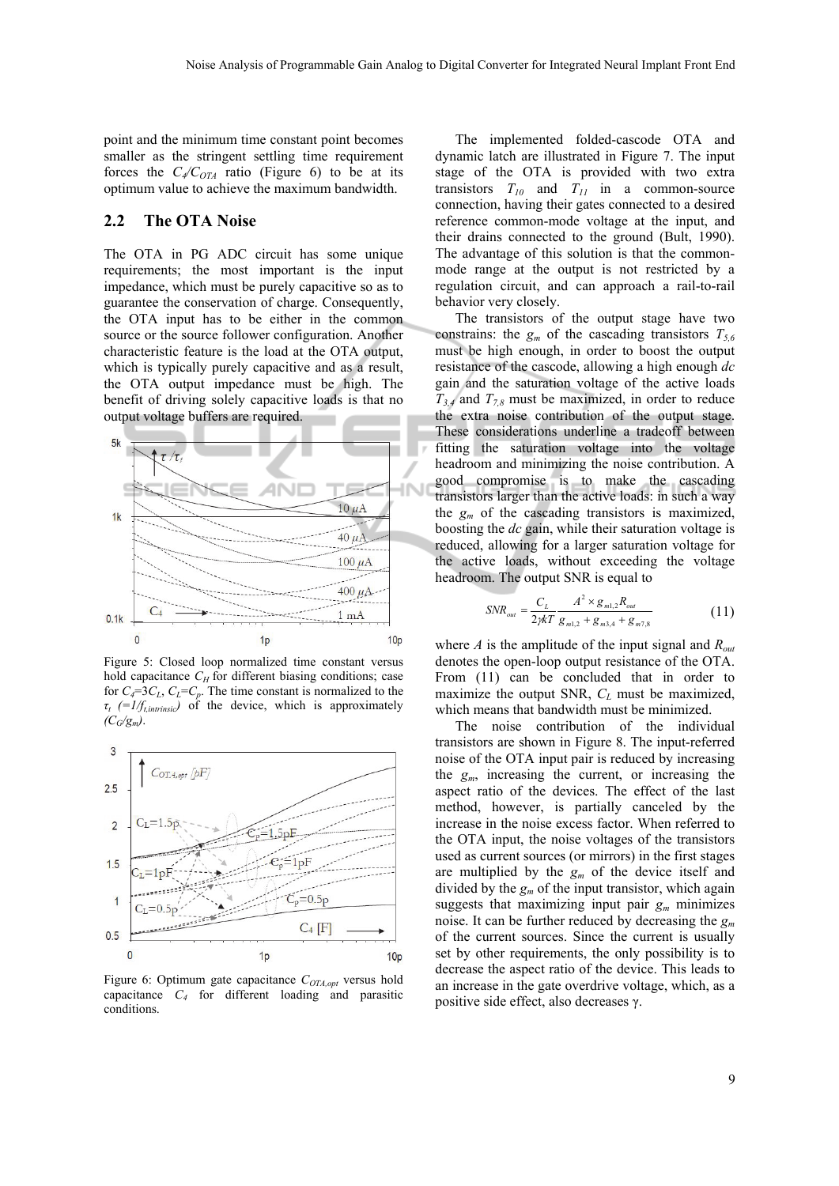point and the minimum time constant point becomes smaller as the stringent settling time requirement forces the  $C_4/C_{OTA}$  ratio (Figure 6) to be at its optimum value to achieve the maximum bandwidth.

### **2.2 The OTA Noise**

The OTA in PG ADC circuit has some unique requirements; the most important is the input impedance, which must be purely capacitive so as to guarantee the conservation of charge. Consequently, the OTA input has to be either in the common source or the source follower configuration. Another characteristic feature is the load at the OTA output, which is typically purely capacitive and as a result. the OTA output impedance must be high. The benefit of driving solely capacitive loads is that no output voltage buffers are required.



Figure 5: Closed loop normalized time constant versus hold capacitance  $C_H$  for different biasing conditions; case for  $C_4=3C_L$ ,  $C_1=C_p$ . The time constant is normalized to the  $\tau_t$  (=1/f<sub>t,intrinsic</sub>) of the device, which is approximately *(CG/gm)*.



Figure 6: Optimum gate capacitance *COTA,opt* versus hold capacitance *C4* for different loading and parasitic conditions.

The implemented folded-cascode OTA and dynamic latch are illustrated in Figure 7. The input stage of the OTA is provided with two extra transistors  $T_{10}$  and  $T_{11}$  in a common-source connection, having their gates connected to a desired reference common-mode voltage at the input, and their drains connected to the ground (Bult, 1990). The advantage of this solution is that the commonmode range at the output is not restricted by a regulation circuit, and can approach a rail-to-rail behavior very closely.

The transistors of the output stage have two constrains: the  $g_m$  of the cascading transistors  $T_{5,6}$ must be high enough, in order to boost the output resistance of the cascode, allowing a high enough *dc* gain and the saturation voltage of the active loads  $T_{3,4}$  and  $T_{7,8}$  must be maximized, in order to reduce the extra noise contribution of the output stage. These considerations underline a tradeoff between fitting the saturation voltage into the voltage headroom and minimizing the noise contribution. A good compromise is to make the cascading transistors larger than the active loads: in such a way the *gm* of the cascading transistors is maximized, boosting the *dc* gain, while their saturation voltage is reduced, allowing for a larger saturation voltage for the active loads, without exceeding the voltage headroom. The output SNR is equal to

$$
SNR_{out} = \frac{C_L}{2\gamma kT} \frac{A^2 \times g_{m1,2} R_{out}}{g_{m1,2} + g_{m3,4} + g_{m7,8}}
$$
(11)

where *A* is the amplitude of the input signal and  $R_{out}$ denotes the open-loop output resistance of the OTA. From (11) can be concluded that in order to maximize the output SNR,  $C<sub>L</sub>$  must be maximized, which means that bandwidth must be minimized.

The noise contribution of the individual transistors are shown in Figure 8. The input-referred noise of the OTA input pair is reduced by increasing the *gm*, increasing the current, or increasing the aspect ratio of the devices. The effect of the last method, however, is partially canceled by the increase in the noise excess factor. When referred to the OTA input, the noise voltages of the transistors used as current sources (or mirrors) in the first stages are multiplied by the  $g_m$  of the device itself and divided by the  $g_m$  of the input transistor, which again suggests that maximizing input pair  $g_m$  minimizes noise. It can be further reduced by decreasing the *gm* of the current sources. Since the current is usually set by other requirements, the only possibility is to decrease the aspect ratio of the device. This leads to an increase in the gate overdrive voltage, which, as a positive side effect, also decreases γ.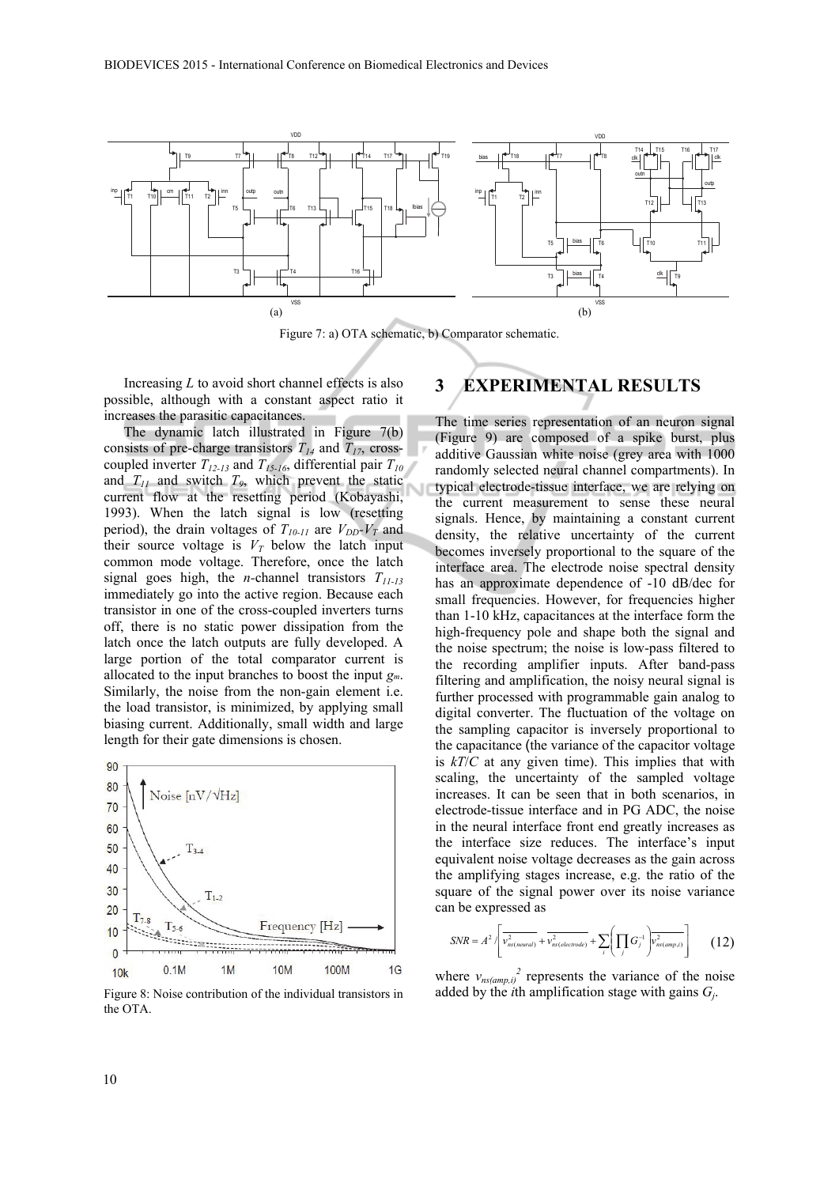

Figure 7: a) OTA schematic, b) Comparator schematic.

Increasing *L* to avoid short channel effects is also possible, although with a constant aspect ratio it increases the parasitic capacitances.

The dynamic latch illustrated in Figure 7(b) consists of pre-charge transistors  $T_{14}$  and  $T_{17}$ , crosscoupled inverter  $T_{12-13}$  and  $T_{15-16}$ , differential pair  $T_{10}$ and  $T_{II}$  and switch  $T_9$ , which prevent the static current flow at the resetting period (Kobayashi, 1993). When the latch signal is low (resetting period), the drain voltages of  $T_{10-11}$  are  $V_{DD}$ - $V_T$  and their source voltage is  $V_T$  below the latch input common mode voltage. Therefore, once the latch signal goes high, the *n*-channel transistors  $T_{11-13}$ immediately go into the active region. Because each transistor in one of the cross-coupled inverters turns off, there is no static power dissipation from the latch once the latch outputs are fully developed. A large portion of the total comparator current is allocated to the input branches to boost the input *gm*. Similarly, the noise from the non-gain element i.e. the load transistor, is minimized, by applying small biasing current. Additionally, small width and large length for their gate dimensions is chosen.



Figure 8: Noise contribution of the individual transistors in the OTA.

## **3 EXPERIMENTAL RESULTS**

The time series representation of an neuron signal (Figure 9) are composed of a spike burst, plus additive Gaussian white noise (grey area with 1000 randomly selected neural channel compartments). In typical electrode-tissue interface, we are relying on the current measurement to sense these neural signals. Hence, by maintaining a constant current density, the relative uncertainty of the current becomes inversely proportional to the square of the interface area. The electrode noise spectral density has an approximate dependence of -10 dB/dec for small frequencies. However, for frequencies higher than 1-10 kHz, capacitances at the interface form the high-frequency pole and shape both the signal and the noise spectrum; the noise is low-pass filtered to the recording amplifier inputs. After band-pass filtering and amplification, the noisy neural signal is further processed with programmable gain analog to digital converter. The fluctuation of the voltage on the sampling capacitor is inversely proportional to the capacitance (the variance of the capacitor voltage is *kT*/*C* at any given time). This implies that with scaling, the uncertainty of the sampled voltage increases. It can be seen that in both scenarios, in electrode-tissue interface and in PG ADC, the noise in the neural interface front end greatly increases as the interface size reduces. The interface's input equivalent noise voltage decreases as the gain across the amplifying stages increase, e.g. the ratio of the square of the signal power over its noise variance can be expressed as

$$
SNR = A^2 \sqrt{\overline{v_{ns(ncural)}^2 + v_{ns(electrode)}^2} + \sum_i \left( \prod_j G_j^{-1} \overline{v_{ns(amj,i)}^2} \right)}
$$
(12)

where  $v_{ns(amp,i)}^2$  represents the variance of the noise added by the *i*th amplification stage with gains *Gj*.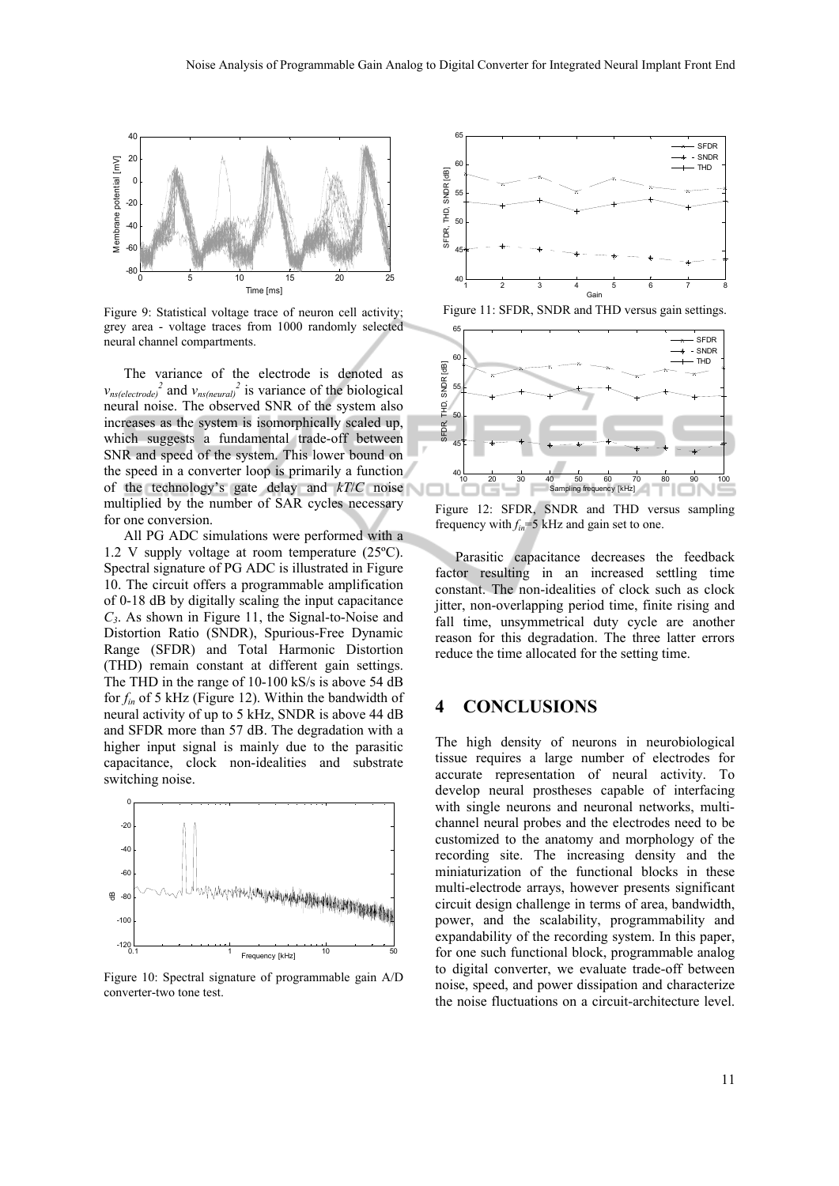

Figure 9: Statistical voltage trace of neuron cell activity; grey area - voltage traces from 1000 randomly selected neural channel compartments.

The variance of the electrode is denoted as  $v_{ns(electrode)}^2$  and  $v_{ns(newral)}^2$  is variance of the biological neural noise. The observed SNR of the system also increases as the system is isomorphically scaled up, which suggests a fundamental trade-off between SNR and speed of the system. This lower bound on the speed in a converter loop is primarily a function of the technology's gate delay and *kT*/*C* noise multiplied by the number of SAR cycles necessary for one conversion.

All PG ADC simulations were performed with a 1.2 V supply voltage at room temperature (25ºC). Spectral signature of PG ADC is illustrated in Figure 10. The circuit offers a programmable amplification of 0-18 dB by digitally scaling the input capacitance *C3*. As shown in Figure 11, the Signal-to-Noise and Distortion Ratio (SNDR), Spurious-Free Dynamic Range (SFDR) and Total Harmonic Distortion (THD) remain constant at different gain settings. The THD in the range of 10-100 kS/s is above 54 dB for *fin* of 5 kHz (Figure 12). Within the bandwidth of neural activity of up to 5 kHz, SNDR is above 44 dB and SFDR more than 57 dB. The degradation with a higher input signal is mainly due to the parasitic capacitance, clock non-idealities and substrate switching noise.



Figure 10: Spectral signature of programmable gain A/D converter-two tone test.



Figure 11: SFDR, SNDR and THD versus gain settings.



Figure 12: SFDR, SNDR and THD versus sampling frequency with *fin*=5 kHz and gain set to one.

Parasitic capacitance decreases the feedback factor resulting in an increased settling time constant. The non-idealities of clock such as clock jitter, non-overlapping period time, finite rising and fall time, unsymmetrical duty cycle are another reason for this degradation. The three latter errors reduce the time allocated for the setting time.

### **4 CONCLUSIONS**

The high density of neurons in neurobiological tissue requires a large number of electrodes for accurate representation of neural activity. To develop neural prostheses capable of interfacing with single neurons and neuronal networks, multichannel neural probes and the electrodes need to be customized to the anatomy and morphology of the recording site. The increasing density and the miniaturization of the functional blocks in these multi-electrode arrays, however presents significant circuit design challenge in terms of area, bandwidth, power, and the scalability, programmability and expandability of the recording system. In this paper, for one such functional block, programmable analog to digital converter, we evaluate trade-off between noise, speed, and power dissipation and characterize the noise fluctuations on a circuit-architecture level.